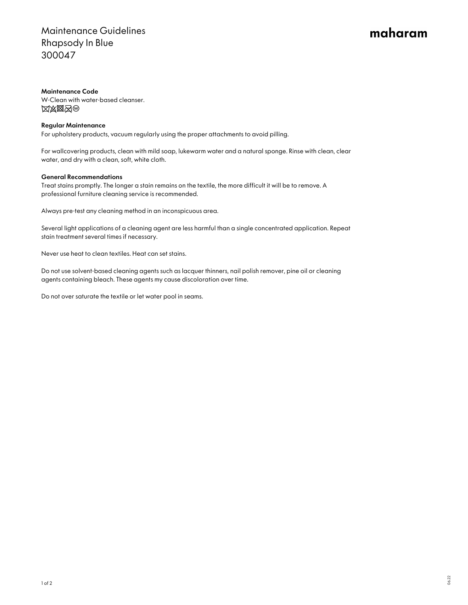## Maintenance Guidelines Rhapsody In Blue 300047

# maharam

#### Maintenance Code

W-Clean with water-based cleanser. **XXXX**O

### Regular Maintenance

For upholstery products, vacuum regularly using the proper attachments to avoid pilling.

For wallcovering products, clean with mild soap, lukewarm water and a natural sponge. Rinse with clean, clear water, and dry with a clean, soft, white cloth.

#### General Recommendations

Treat stains promptly. The longer a stain remains on the textile, the more difficult it will be to remove. A professional furniture cleaning service is recommended.

Always pre-test any cleaning method in an inconspicuous area.

Several light applications of a cleaning agent are less harmful than a single concentrated application. Repeat stain treatment several times if necessary.

Never use heat to clean textiles. Heat can set stains.

Do not use solvent-based cleaning agents such as lacquer thinners, nail polish remover, pine oil or cleaning agents containing bleach. These agents my cause discoloration over time.

Do not over saturate the textile or let water pool in seams.